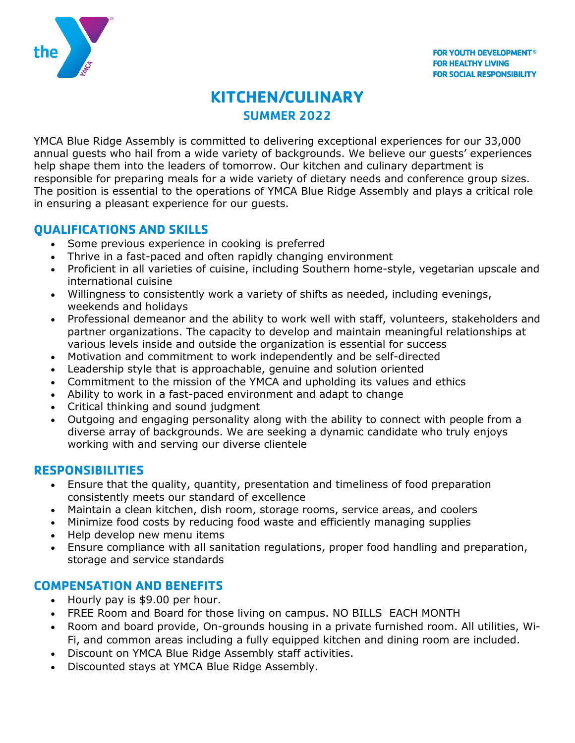

# **KITCHEN/CULINARY** SUMMER 2022

YMCA Blue Ridge Assembly is committed to delivering exceptional experiences for our 33,000 annual guests who hail from a wide variety of backgrounds. We believe our guests' experiences help shape them into the leaders of tomorrow. Our kitchen and culinary department is responsible for preparing meals for a wide variety of dietary needs and conference group sizes. The position is essential to the operations of YMCA Blue Ridge Assembly and plays a critical role in ensuring a pleasant experience for our guests.

#### **QUALIFICATIONS AND SKILLS**

- Some previous experience in cooking is preferred
- Thrive in a fast-paced and often rapidly changing environment
- Proficient in all varieties of cuisine, including Southern home-style, vegetarian upscale and international cuisine
- Willingness to consistently work a variety of shifts as needed, including evenings, weekends and holidays
- Professional demeanor and the ability to work well with staff, volunteers, stakeholders and partner organizations. The capacity to develop and maintain meaningful relationships at various levels inside and outside the organization is essential for success
- Motivation and commitment to work independently and be self-directed
- Leadership style that is approachable, genuine and solution oriented
- Commitment to the mission of the YMCA and upholding its values and ethics
- Ability to work in a fast-paced environment and adapt to change
- Critical thinking and sound judgment
- Outgoing and engaging personality along with the ability to connect with people from a diverse array of backgrounds. We are seeking a dynamic candidate who truly enjoys working with and serving our diverse clientele

### **RESPONSIBILITIES**

- Ensure that the quality, quantity, presentation and timeliness of food preparation consistently meets our standard of excellence
- Maintain a clean kitchen, dish room, storage rooms, service areas, and coolers
- Minimize food costs by reducing food waste and efficiently managing supplies
- Help develop new menu items
- Ensure compliance with all sanitation regulations, proper food handling and preparation, storage and service standards

#### **COMPENSATION AND BENEFITS**

- Hourly pay is \$9.00 per hour.
- FREE Room and Board for those living on campus. NO BILLS EACH MONTH
- Room and board provide, On-grounds housing in a private furnished room. All utilities, Wi-Fi, and common areas including a fully equipped kitchen and dining room are included.
- Discount on YMCA Blue Ridge Assembly staff activities.
- Discounted stays at YMCA Blue Ridge Assembly.